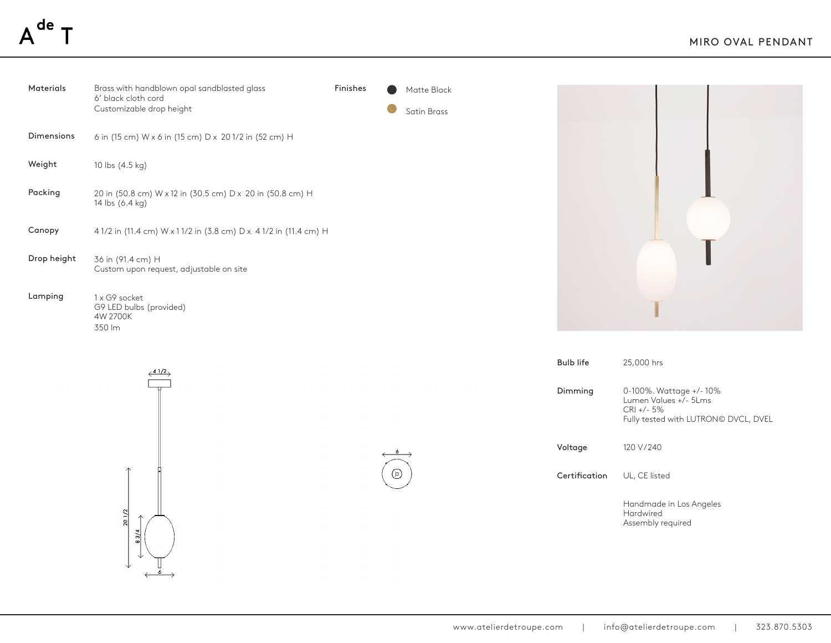